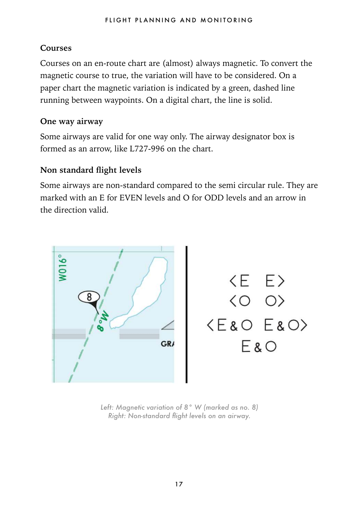## **Courses**

Courses on an en-route chart are (almost) always magnetic. To convert the magnetic course to true, the variation will have to be considered. On a paper chart the magnetic variation is indicated by a green, dashed line running between waypoints. On a digital chart, the line is solid.

## **One way airway**

Some airways are valid for one way only. The airway designator box is formed as an arrow, like L727-996 on the chart.

## **Non standard flight levels**

Some airways are non-standard compared to the semi circular rule. They are marked with an E for EVEN levels and O for ODD levels and an arrow in the direction valid.



*Left: Magnetic variation of 8° W (marked as no. 8) Right: Non-standard flight levels on an airway.*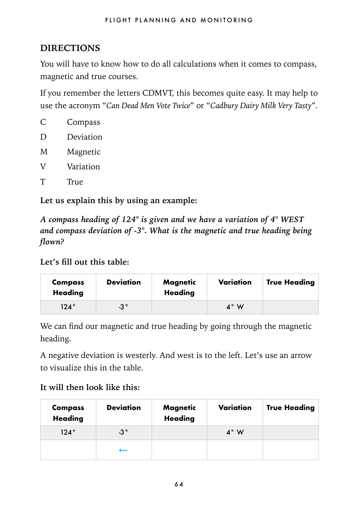# **DIRECTIONS**

You will have to know how to do all calculations when it comes to compass, magnetic and true courses.

If you remember the letters CDMVT, this becomes quite easy. It may help to use the acronym "*Can Dead Men Vote Twice*" or "*Cadbury Dairy Milk Very Tasty*".

|   | Compass   |
|---|-----------|
| D | Deviation |
| M | Magnetic  |
| V | Variation |
| Τ | True      |
|   |           |

**Let us explain this by using an example:** 

*A compass heading of 124° is given and we have a variation of 4° WEST and compass deviation of -3°. What is the magnetic and true heading being flown?*

**Let's fill out this table:** 

| Compass<br>Heading | <b>Deviation</b> | Magnetic<br>Heading | Variation | <b>True Heading</b> |
|--------------------|------------------|---------------------|-----------|---------------------|
| $124^\circ$        | $-3^{\circ}$     |                     | 4° W      |                     |

We can find our magnetic and true heading by going through the magnetic heading.

A negative deviation is westerly. And west is to the left. Let's use an arrow to visualize this in the table.

#### **It will then look like this:**

| Compass<br><b>Heading</b> | <b>Deviation</b> | Magnetic<br><b>Heading</b> | Variation | <b>True Heading</b> |
|---------------------------|------------------|----------------------------|-----------|---------------------|
| $124^\circ$               | $-3°$            |                            | 4° W      |                     |
|                           |                  |                            |           |                     |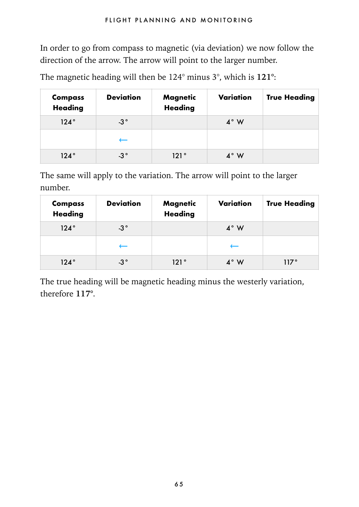In order to go from compass to magnetic (via deviation) we now follow the direction of the arrow. The arrow will point to the larger number.

The magnetic heading will then be 124° minus 3°, which is **121°**:

| Compass<br><b>Heading</b> | <b>Deviation</b> | Magnetic<br><b>Heading</b> | Variation | <b>True Heading</b> |
|---------------------------|------------------|----------------------------|-----------|---------------------|
| $124^\circ$               | $-3^{\circ}$     |                            | 4° W      |                     |
|                           |                  |                            |           |                     |
| $124^\circ$               | $-3°$            | 121 °                      | 4° W      |                     |

The same will apply to the variation. The arrow will point to the larger number.

| Compass<br><b>Heading</b> | <b>Deviation</b> | Magnetic<br><b>Heading</b> | Variation   | <b>True Heading</b> |
|---------------------------|------------------|----------------------------|-------------|---------------------|
| $124^\circ$               | $-3^{\circ}$     |                            | $4^\circ$ W |                     |
|                           |                  |                            |             |                     |
| $124^\circ$               | $-3^{\circ}$     | 121°                       | 4° W        | 117°                |

The true heading will be magnetic heading minus the westerly variation, therefore **117°**.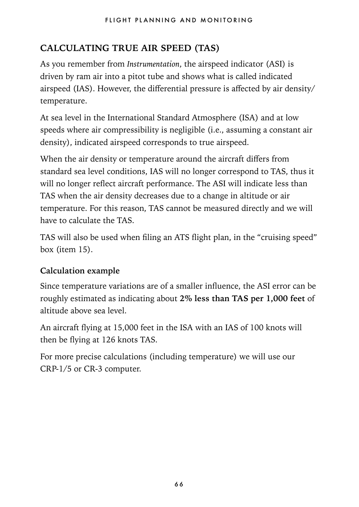# **CALCULATING TRUE AIR SPEED (TAS)**

As you remember from *Instrumentation*, the airspeed indicator (ASI) is driven by ram air into a pitot tube and shows what is called indicated airspeed (IAS). However, the differential pressure is affected by air density/ temperature.

At sea level in the International Standard Atmosphere (ISA) and at low speeds where air compressibility is negligible (i.e., assuming a constant air density), indicated airspeed corresponds to true airspeed.

When the air density or temperature around the aircraft differs from standard sea level conditions, IAS will no longer correspond to TAS, thus it will no longer reflect aircraft performance. The ASI will indicate less than TAS when the air density decreases due to a change in altitude or air temperature. For this reason, TAS cannot be measured directly and we will have to calculate the TAS.

TAS will also be used when filing an ATS flight plan, in the "cruising speed" box (item 15).

# **Calculation example**

Since temperature variations are of a smaller influence, the ASI error can be roughly estimated as indicating about **2% less than TAS per 1,000 feet** of altitude above sea level.

An aircraft flying at 15,000 feet in the ISA with an IAS of 100 knots will then be flying at 126 knots TAS.

For more precise calculations (including temperature) we will use our CRP-1/5 or CR-3 computer.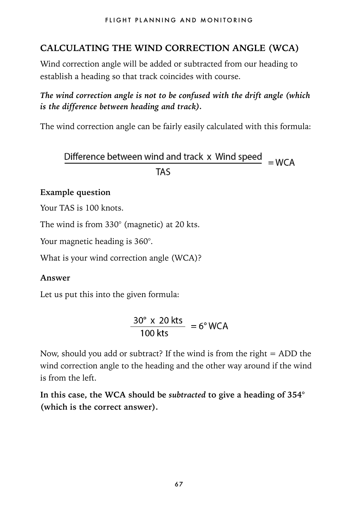# **CALCULATING THE WIND CORRECTION ANGLE (WCA)**

Wind correction angle will be added or subtracted from our heading to establish a heading so that track coincides with course.

## *The wind correction angle is not to be confused with the drift angle (which is the difference between heading and track).*

The wind correction angle can be fairly easily calculated with this formula:

Difference between wind and track  $x$  Wind speed  $y = WCA$ **TAS** 

#### **Example question**

Your TAS is 100 knots.

The wind is from 330° (magnetic) at 20 kts.

Your magnetic heading is 360°.

What is your wind correction angle (WCA)?

#### **Answer**

Let us put this into the given formula:

 $\frac{30^{\circ} \times 20 \text{ kts}}{100 \text{ kts}} = 6^{\circ} \text{WCA}$ 

Now, should you add or subtract? If the wind is from the right  $=$  ADD the wind correction angle to the heading and the other way around if the wind is from the left.

**In this case, the WCA should be** *subtracted* **to give a heading of 354° (which is the correct answer).**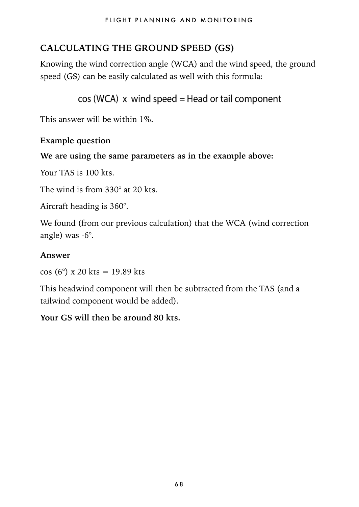# **CALCULATING THE GROUND SPEED (GS)**

Knowing the wind correction angle (WCA) and the wind speed, the ground speed (GS) can be easily calculated as well with this formula:

```
cos(WCA) x wind speed = Head or tail component
```
This answer will be within 1%.

#### **Example question**

#### **We are using the same parameters as in the example above:**

Your TAS is 100 kts.

The wind is from 330° at 20 kts.

Aircraft heading is 360°.

We found (from our previous calculation) that the WCA (wind correction angle) was -6°.

#### **Answer**

cos (6°) x 20 kts = 19.89 kts

This headwind component will then be subtracted from the TAS (and a tailwind component would be added).

#### **Your GS will then be around 80 kts.**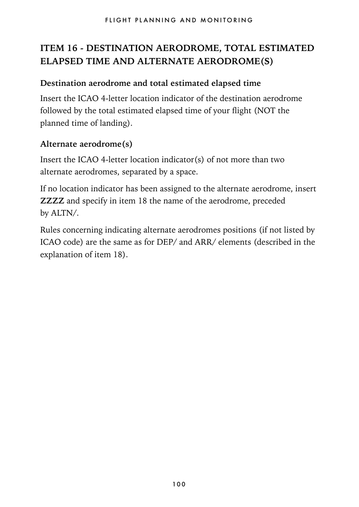# **ITEM 16 - DESTINATION AERODROME, TOTAL ESTIMATED ELAPSED TIME AND ALTERNATE AERODROME(S)**

#### **Destination aerodrome and total estimated elapsed time**

Insert the ICAO 4-letter location indicator of the destination aerodrome followed by the total estimated elapsed time of your flight (NOT the planned time of landing).

#### **Alternate aerodrome(s)**

Insert the ICAO 4-letter location indicator(s) of not more than two alternate aerodromes, separated by a space.

If no location indicator has been assigned to the alternate aerodrome, insert **ZZZZ** and specify in item 18 the name of the aerodrome, preceded by ALTN/.

Rules concerning indicating alternate aerodromes positions (if not listed by ICAO code) are the same as for DEP/ and ARR/ elements (described in the explanation of item 18).